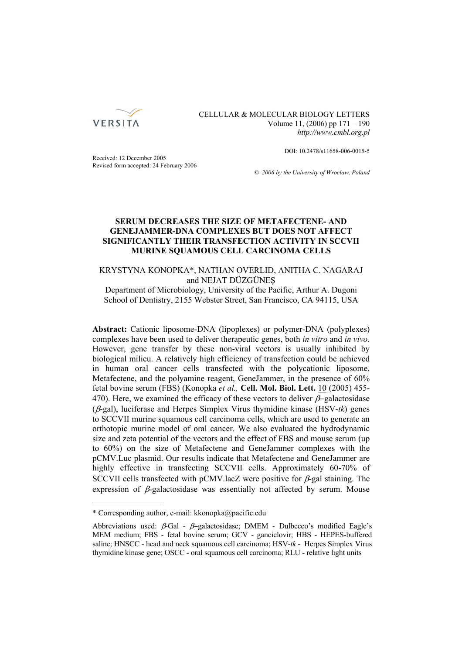

CELLULAR & MOLECULAR BIOLOGY LETTERS Volume 11, (2006) pp 171 – 190 *http://www.cmbl.org.pl*

DOI: 10.2478/s11658-006-0015-5

Received: 12 December 2005 Revised form accepted: 24 February 2006

*© 2006 by the University of Wrocław, Poland*

# **SERUM DECREASES THE SIZE OF METAFECTENE- AND GENEJAMMER-DNA COMPLEXES BUT DOES NOT AFFECT SIGNIFICANTLY THEIR TRANSFECTION ACTIVITY IN SCCVII MURINE SQUAMOUS CELL CARCINOMA CELLS**

KRYSTYNA KONOPKA\*, NATHAN OVERLID, ANITHA C. NAGARAJ and NEJAT DÜZGÜNEŞ

Department of Microbiology, University of the Pacific, Arthur A. Dugoni School of Dentistry, 2155 Webster Street, San Francisco, CA 94115, USA

**Abstract:** Cationic liposome-DNA (lipoplexes) or polymer-DNA (polyplexes) complexes have been used to deliver therapeutic genes, both *in vitro* and *in vivo*. However, gene transfer by these non-viral vectors is usually inhibited by biological milieu. A relatively high efficiency of transfection could be achieved in human oral cancer cells transfected with the polycationic liposome, Metafectene, and the polyamine reagent, GeneJammer, in the presence of 60% fetal bovine serum (FBS) (Konopka *et al.,* **Cell. Mol. Biol. Lett.** 10 (2005) 455- 470). Here, we examined the efficacy of these vectors to deliver  $\beta$ -galactosidase (β-gal), luciferase and Herpes Simplex Virus thymidine kinase (HSV-*tk*) genes to SCCVII murine squamous cell carcinoma cells, which are used to generate an orthotopic murine model of oral cancer. We also evaluated the hydrodynamic size and zeta potential of the vectors and the effect of FBS and mouse serum (up to 60%) on the size of Metafectene and GeneJammer complexes with the pCMV.Luc plasmid. Our results indicate that Metafectene and GeneJammer are highly effective in transfecting SCCVII cells. Approximately 60-70% of SCCVII cells transfected with pCMV.lacZ were positive for  $\beta$ -gal staining. The expression of β*-*galactosidase was essentially not affected by serum. Mouse

<sup>\*</sup> Corresponding author, e-mail: kkonopka@pacific.edu

Abbreviations used:  $\beta$ -Gal -  $\beta$ -galactosidase; DMEM - Dulbecco's modified Eagle's MEM medium; FBS - fetal bovine serum; GCV - ganciclovir; HBS - HEPES-buffered saline; HNSCC - head and neck squamous cell carcinoma; HSV-*tk* - Herpes Simplex Virus thymidine kinase gene; OSCC - oral squamous cell carcinoma; RLU - relative light units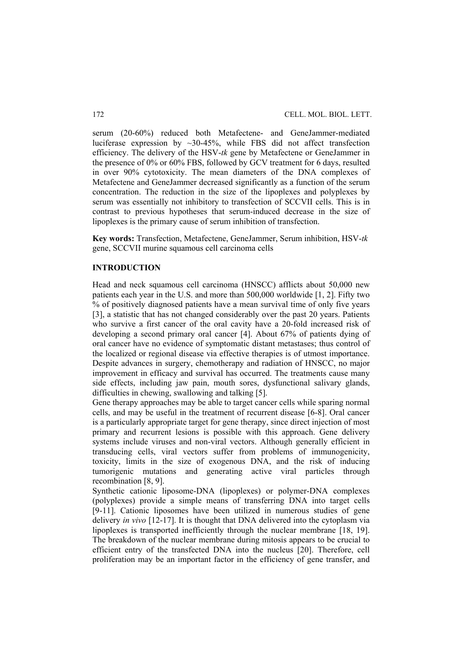serum (20-60%) reduced both Metafectene- and GeneJammer-mediated luciferase expression by ~30-45%, while FBS did not affect transfection efficiency. The delivery of the HSV-*tk* gene by Metafectene or GeneJammer in the presence of 0% or 60% FBS, followed by GCV treatment for 6 days, resulted in over 90% cytotoxicity. The mean diameters of the DNA complexes of Metafectene and GeneJammer decreased significantly as a function of the serum concentration. The reduction in the size of the lipoplexes and polyplexes by serum was essentially not inhibitory to transfection of SCCVII cells. This is in contrast to previous hypotheses that serum-induced decrease in the size of lipoplexes is the primary cause of serum inhibition of transfection.

**Key words:** Transfection, Metafectene, GeneJammer, Serum inhibition, HSV-*tk* gene, SCCVII murine squamous cell carcinoma cells

#### **INTRODUCTION**

Head and neck squamous cell carcinoma (HNSCC) afflicts about 50,000 new patients each year in the U.S. and more than 500,000 worldwide [1, 2]. Fifty two  $\%$  of positively diagnosed patients have a mean survival time of only five years [3], a statistic that has not changed considerably over the past 20 years. Patients who survive a first cancer of the oral cavity have a 20-fold increased risk of developing a second primary oral cancer [4]. About 67% of patients dying of oral cancer have no evidence of symptomatic distant metastases; thus control of the localized or regional disease via effective therapies is of utmost importance. Despite advances in surgery, chemotherapy and radiation of HNSCC, no major improvement in efficacy and survival has occurred. The treatments cause many side effects, including jaw pain, mouth sores, dysfunctional salivary glands, difficulties in chewing, swallowing and talking [5].

Gene therapy approaches may be able to target cancer cells while sparing normal cells, and may be useful in the treatment of recurrent disease [6-8]. Oral cancer is a particularly appropriate target for gene therapy, since direct injection of most primary and recurrent lesions is possible with this approach. Gene delivery systems include viruses and non-viral vectors. Although generally efficient in transducing cells, viral vectors suffer from problems of immunogenicity, toxicity, limits in the size of exogenous DNA, and the risk of inducing tumorigenic mutations and generating active viral particles through recombination [8, 9].

Synthetic cationic liposome-DNA (lipoplexes) or polymer-DNA complexes (polyplexes) provide a simple means of transferring DNA into target cells [9-11]. Cationic liposomes have been utilized in numerous studies of gene delivery *in vivo* [12-17]. It is thought that DNA delivered into the cytoplasm via lipoplexes is transported inefficiently through the nuclear membrane [18, 19]. The breakdown of the nuclear membrane during mitosis appears to be crucial to efficient entry of the transfected DNA into the nucleus [20]. Therefore, cell proliferation may be an important factor in the efficiency of gene transfer, and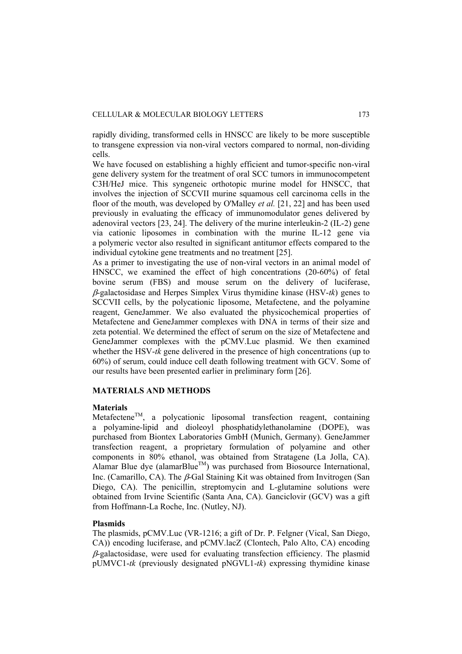rapidly dividing, transformed cells in HNSCC are likely to be more susceptible to transgene expression via non-viral vectors compared to normal, non-dividing cells.

We have focused on establishing a highly efficient and tumor-specific non-viral gene delivery system for the treatment of oral SCC tumors in immunocompetent C3H/HeJ mice. This syngeneic orthotopic murine model for HNSCC, that involves the injection of SCCVII murine squamous cell carcinoma cells in the floor of the mouth, was developed by O'Malley *et al.* [21, 22] and has been used previously in evaluating the efficacy of immunomodulator genes delivered by adenoviral vectors [23, 24]. The delivery of the murine interleukin-2 (IL-2) gene via cationic liposomes in combination with the murine IL-12 gene via a polymeric vector also resulted in significant antitumor effects compared to the individual cytokine gene treatments and no treatment [25].

As a primer to investigating the use of non-viral vectors in an animal model of HNSCC, we examined the effect of high concentrations (20-60%) of fetal bovine serum (FBS) and mouse serum on the delivery of luciferase, β-galactosidase and Herpes Simplex Virus thymidine kinase (HSV-*tk*) genes to SCCVII cells, by the polycationic liposome, Metafectene, and the polyamine reagent, GeneJammer. We also evaluated the physicochemical properties of Metafectene and GeneJammer complexes with DNA in terms of their size and zeta potential. We determined the effect of serum on the size of Metafectene and GeneJammer complexes with the pCMV.Luc plasmid. We then examined whether the HSV-*tk* gene delivered in the presence of high concentrations (up to 60%) of serum, could induce cell death following treatment with GCV. Some of our results have been presented earlier in preliminary form [26].

## **MATERIALS AND METHODS**

#### **Materials**

MetafecteneTM, a polycationic liposomal transfection reagent, containing a polyamine-lipid and dioleoyl phosphatidylethanolamine (DOPE), was purchased from Biontex Laboratories GmbH (Munich, Germany). GeneJammer transfection reagent, a proprietary formulation of polyamine and other components in 80% ethanol, was obtained from Stratagene (La Jolla, CA). Alamar Blue dye (alamarBlue<sup>TM</sup>) was purchased from Biosource International, Inc. (Camarillo, CA). The β-Gal Staining Kit was obtained from Invitrogen (San Diego, CA). The penicillin, streptomycin and L-glutamine solutions were obtained from Irvine Scientific (Santa Ana, CA). Ganciclovir (GCV) was a gift from Hoffmann-La Roche, Inc. (Nutley, NJ).

#### **Plasmids**

The plasmids, pCMV.Luc (VR-1216; a gift of Dr. P. Felgner (Vical, San Diego, CA)) encoding luciferase, and pCMV.lacZ (Clontech, Palo Alto, CA) encoding β-galactosidase, were used for evaluating transfection efficiency. The plasmid pUMVC1-*tk* (previously designated pNGVL1-*tk*) expressing thymidine kinase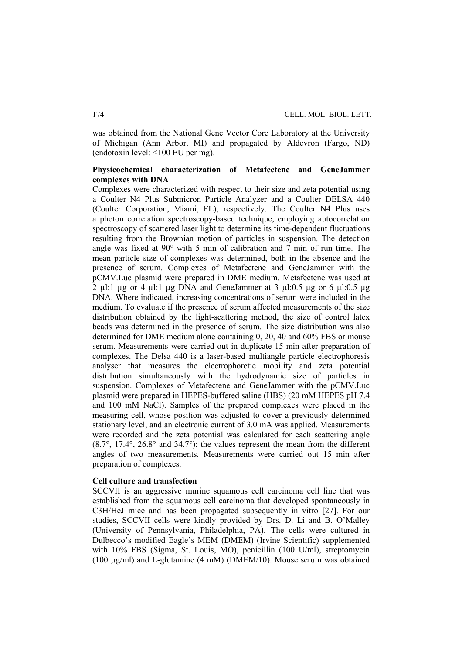was obtained from the National Gene Vector Core Laboratory at the University of Michigan (Ann Arbor, MI) and propagated by Aldevron (Fargo, ND) (endotoxin level: <100 EU per mg).

# **Physicochemical characterization of Metafectene and GeneJammer complexes with DNA**

Complexes were characterized with respect to their size and zeta potential using a Coulter N4 Plus Submicron Particle Analyzer and a Coulter DELSA 440 (Coulter Corporation, Miami, FL), respectively. The Coulter N4 Plus uses a photon correlation spectroscopy-based technique, employing autocorrelation spectroscopy of scattered laser light to determine its time-dependent fluctuations resulting from the Brownian motion of particles in suspension. The detection angle was fixed at 90° with 5 min of calibration and 7 min of run time. The mean particle size of complexes was determined, both in the absence and the presence of serum. Complexes of Metafectene and GeneJammer with the pCMV.Luc plasmid were prepared in DME medium. Metafectene was used at 2 ul:1 ug or 4 ul:1 ug DNA and GeneJammer at 3 ul:0.5 ug or 6 ul:0.5 ug DNA. Where indicated, increasing concentrations of serum were included in the medium. To evaluate if the presence of serum affected measurements of the size distribution obtained by the light-scattering method, the size of control latex beads was determined in the presence of serum. The size distribution was also determined for DME medium alone containing 0, 20, 40 and 60% FBS or mouse serum. Measurements were carried out in duplicate 15 min after preparation of complexes. The Delsa 440 is a laser-based multiangle particle electrophoresis analyser that measures the electrophoretic mobility and zeta potential distribution simultaneously with the hydrodynamic size of particles in suspension. Complexes of Metafectene and GeneJammer with the pCMV.Luc plasmid were prepared in HEPES-buffered saline (HBS) (20 mM HEPES pH 7.4 and 100 mM NaCl). Samples of the prepared complexes were placed in the measuring cell, whose position was adjusted to cover a previously determined stationary level, and an electronic current of 3.0 mA was applied. Measurements were recorded and the zeta potential was calculated for each scattering angle (8.7°, 17.4°, 26.8° and 34.7°); the values represent the mean from the different angles of two measurements. Measurements were carried out 15 min after preparation of complexes.

## **Cell culture and transfection**

SCCVII is an aggressive murine squamous cell carcinoma cell line that was established from the squamous cell carcinoma that developed spontaneously in C3H/HeJ mice and has been propagated subsequently in vitro [27]. For our studies, SCCVII cells were kindly provided by Drs. D. Li and B. O'Malley (University of Pennsylvania, Philadelphia, PA). The cells were cultured in Dulbecco's modified Eagle's MEM (DMEM) (Irvine Scientific) supplemented with 10% FBS (Sigma, St. Louis, MO), penicillin (100 U/ml), streptomycin (100 µg/ml) and L-glutamine (4 mM) (DMEM/10). Mouse serum was obtained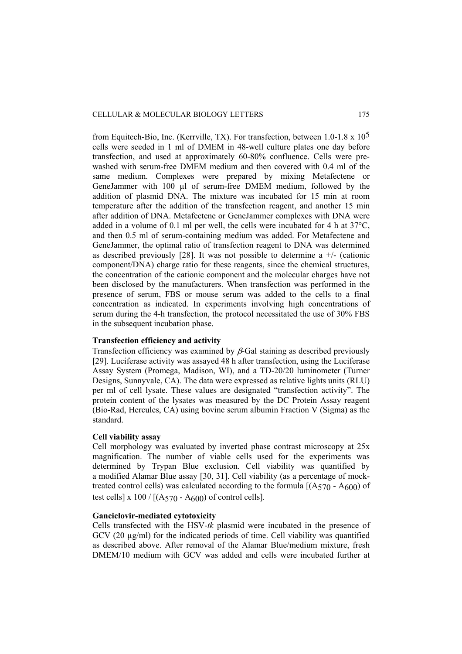from Equitech-Bio, Inc. (Kerrville, TX). For transfection, between 1.0-1.8 x  $10^5$ cells were seeded in 1 ml of DMEM in 48-well culture plates one day before transfection, and used at approximately 60-80% confluence. Cells were prewashed with serum-free DMEM medium and then covered with 0.4 ml of the same medium. Complexes were prepared by mixing Metafectene or GeneJammer with 100 µl of serum-free DMEM medium, followed by the addition of plasmid DNA. The mixture was incubated for 15 min at room temperature after the addition of the transfection reagent, and another 15 min after addition of DNA. Metafectene or GeneJammer complexes with DNA were added in a volume of 0.1 ml per well, the cells were incubated for 4 h at 37°C, and then 0.5 ml of serum-containing medium was added. For Metafectene and GeneJammer, the optimal ratio of transfection reagent to DNA was determined as described previously [28]. It was not possible to determine a  $+/-$  (cationic component/DNA) charge ratio for these reagents, since the chemical structures, the concentration of the cationic component and the molecular charges have not been disclosed by the manufacturers. When transfection was performed in the presence of serum, FBS or mouse serum was added to the cells to a final concentration as indicated. In experiments involving high concentrations of serum during the 4-h transfection, the protocol necessitated the use of 30% FBS in the subsequent incubation phase.

## **Transfection efficiency and activity**

Transfection efficiency was examined by  $\beta$ -Gal staining as described previously [29]. Luciferase activity was assayed 48 h after transfection, using the Luciferase Assay System (Promega, Madison, WI), and a TD-20/20 luminometer (Turner Designs, Sunnyvale, CA). The data were expressed as relative lights units (RLU) per ml of cell lysate. These values are designated "transfection activity". The protein content of the lysates was measured by the DC Protein Assay reagent (Bio-Rad, Hercules, CA) using bovine serum albumin Fraction V (Sigma) as the standard.

# **Cell viability assay**

Cell morphology was evaluated by inverted phase contrast microscopy at 25x magnification. The number of viable cells used for the experiments was determined by Trypan Blue exclusion. Cell viability was quantified by a modified Alamar Blue assay [30, 31]. Cell viability (as a percentage of mocktreated control cells) was calculated according to the formula  $[(A570 - A600)$  of test cells] x  $100 / [(A570 - A600)$  of control cells].

#### **Ganciclovir-mediated cytotoxicity**

Cells transfected with the HSV-*tk* plasmid were incubated in the presence of GCV (20  $\mu$ g/ml) for the indicated periods of time. Cell viability was quantified as described above. After removal of the Alamar Blue/medium mixture, fresh DMEM/10 medium with GCV was added and cells were incubated further at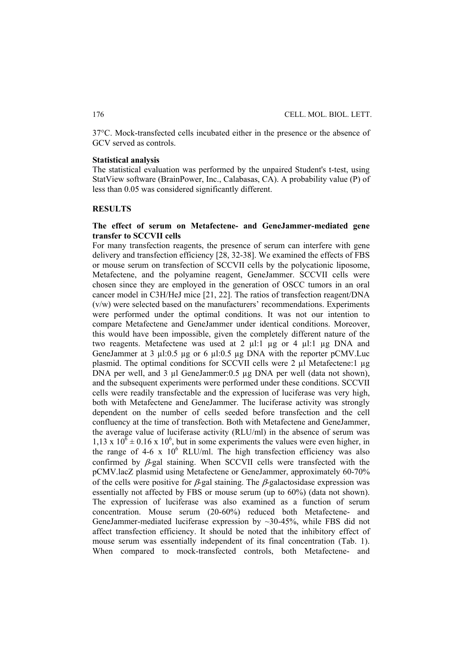37°C. Mock-transfected cells incubated either in the presence or the absence of GCV served as controls.

### **Statistical analysis**

The statistical evaluation was performed by the unpaired Student's t-test, using StatView software (BrainPower, Inc., Calabasas, CA). A probability value (P) of less than 0.05 was considered significantly different.

### **RESULTS**

## **The effect of serum on Metafectene- and GeneJammer-mediated gene transfer to SCCVII cells**

For many transfection reagents, the presence of serum can interfere with gene delivery and transfection efficiency [28, 32-38]. We examined the effects of FBS or mouse serum on transfection of SCCVII cells by the polycationic liposome, Metafectene, and the polyamine reagent, GeneJammer. SCCVII cells were chosen since they are employed in the generation of OSCC tumors in an oral cancer model in C3H/HeJ mice [21, 22]. The ratios of transfection reagent/DNA (v/w) were selected based on the manufacturers' recommendations. Experiments were performed under the optimal conditions. It was not our intention to compare Metafectene and GeneJammer under identical conditions. Moreover, this would have been impossible, given the completely different nature of the two reagents. Metafectene was used at  $2 \mu$ 1:1  $\mu$ g or 4  $\mu$ 1:1  $\mu$ g DNA and GeneJammer at 3 ul:0.5 ug or 6 ul:0.5 ug DNA with the reporter pCMV.Luc plasmid. The optimal conditions for SCCVII cells were 2 µl Metafectene:1 µg DNA per well, and 3 µl GeneJammer:0.5 µg DNA per well (data not shown), and the subsequent experiments were performed under these conditions. SCCVII cells were readily transfectable and the expression of luciferase was very high, both with Metafectene and GeneJammer. The luciferase activity was strongly dependent on the number of cells seeded before transfection and the cell confluency at the time of transfection. Both with Metafectene and GeneJammer, the average value of luciferase activity (RLU/ml) in the absence of serum was  $1,13 \times 10^6 \pm 0.16 \times 10^6$ , but in some experiments the values were even higher, in the range of 4-6 x  $10^6$  RLU/ml. The high transfection efficiency was also confirmed by  $\beta$ -gal staining. When SCCVII cells were transfected with the pCMV.lacZ plasmid using Metafectene or GeneJammer, approximately 60-70% of the cells were positive for  $\beta$ -gal staining. The  $\beta$ -galactosidase expression was essentially not affected by FBS or mouse serum (up to 60%) (data not shown). The expression of luciferase was also examined as a function of serum concentration. Mouse serum (20-60%) reduced both Metafectene- and GeneJammer-mediated luciferase expression by  $\sim$ 30-45%, while FBS did not affect transfection efficiency. It should be noted that the inhibitory effect of mouse serum was essentially independent of its final concentration (Tab. 1). When compared to mock-transfected controls, both Metafectene- and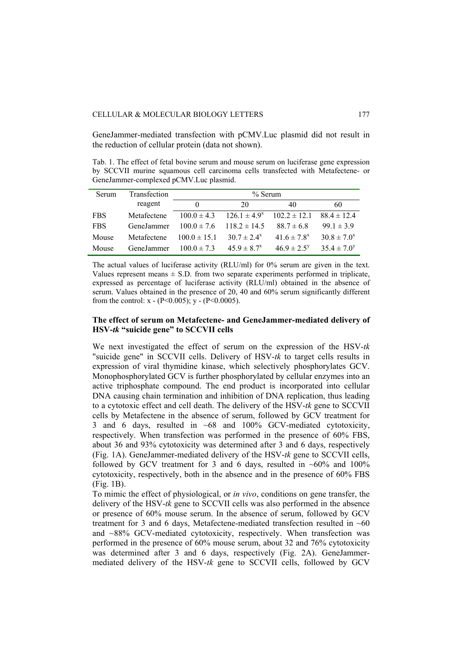GeneJammer-mediated transfection with pCMV.Luc plasmid did not result in the reduction of cellular protein (data not shown).

Tab. 1. The effect of fetal bovine serum and mouse serum on luciferase gene expression by SCCVII murine squamous cell carcinoma cells transfected with Metafectene- or GeneJammer-complexed pCMV.Luc plasmid.

| Serum      | Transfection | $%$ Serum        |                   |                             |                  |
|------------|--------------|------------------|-------------------|-----------------------------|------------------|
|            | reagent      | 0                | 20                | 40                          | 60               |
| <b>FBS</b> | Metafectene  | $100.0 \pm 4.3$  | $126.1 \pm 4.9^x$ | $102.2 \pm 12.1$            | $884 \pm 124$    |
| <b>FBS</b> | GeneJammer   | $100.0 \pm 7.6$  | $118.2 \pm 14.5$  | $88.7 \pm 6.8$              | $99.1 \pm 3.9$   |
| Mouse      | Metafectene  | $100.0 \pm 15.1$ | $30.7 \pm 2.4^x$  | 41.6 $\pm$ 7.8 <sup>x</sup> | $30.8 \pm 7.0^x$ |
| Mouse      | GeneJammer   | $100.0 \pm 7.3$  | $45.9 \pm 8.7^x$  | $46.9 \pm 2.5^y$            | $35.4 \pm 7.0^y$ |

The actual values of luciferase activity (RLU/ml) for 0% serum are given in the text. Values represent means  $\pm$  S.D. from two separate experiments performed in triplicate, expressed as percentage of luciferase activity (RLU/ml) obtained in the absence of serum. Values obtained in the presence of 20, 40 and 60% serum significantly different from the control:  $x - (P < 0.005)$ ;  $y - (P < 0.0005)$ .

## **The effect of serum on Metafectene- and GeneJammer-mediated delivery of HSV-***tk* **"suicide gene" to SCCVII cells**

We next investigated the effect of serum on the expression of the HSV-*tk* "suicide gene" in SCCVII cells. Delivery of HSV-*tk* to target cells results in expression of viral thymidine kinase, which selectively phosphorylates GCV. Monophosphorylated GCV is further phosphorylated by cellular enzymes into an active triphosphate compound. The end product is incorporated into cellular DNA causing chain termination and inhibition of DNA replication, thus leading to a cytotoxic effect and cell death. The delivery of the HSV-*tk* gene to SCCVII cells by Metafectene in the absence of serum, followed by GCV treatment for 3 and 6 days, resulted in ~68 and 100% GCV-mediated cytotoxicity, respectively. When transfection was performed in the presence of 60% FBS, about 36 and 93% cytotoxicity was determined after 3 and 6 days, respectively (Fig. 1A). GeneJammer-mediated delivery of the HSV-*tk* gene to SCCVII cells, followed by GCV treatment for 3 and 6 days, resulted in  $~60\%$  and  $100\%$ cytotoxicity, respectively, both in the absence and in the presence of 60% FBS (Fig. 1B).

To mimic the effect of physiological, or *in vivo*, conditions on gene transfer, the delivery of the HSV-*tk* gene to SCCVII cells was also performed in the absence or presence of 60% mouse serum. In the absence of serum, followed by GCV treatment for 3 and 6 days. Metafectene-mediated transfection resulted in  $~60$ and ~88% GCV-mediated cytotoxicity, respectively. When transfection was performed in the presence of 60% mouse serum, about 32 and 76% cytotoxicity was determined after 3 and 6 days, respectively (Fig. 2A). GeneJammermediated delivery of the HSV-*tk* gene to SCCVII cells, followed by GCV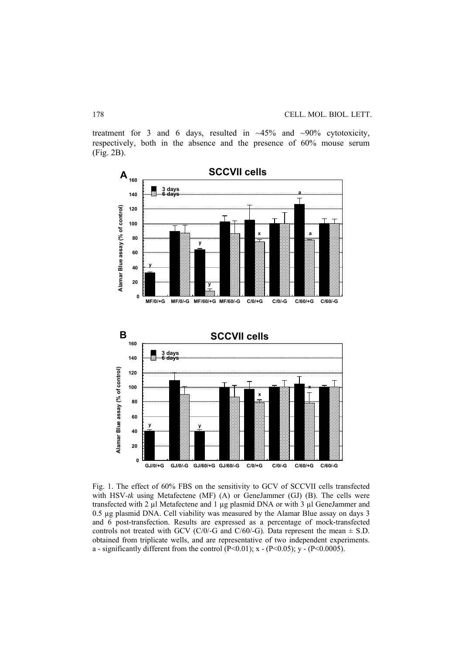treatment for 3 and 6 days, resulted in  $~45\%$  and  $~90\%$  cytotoxicity, respectively, both in the absence and the presence of 60% mouse serum (Fig. 2B).



Fig. 1. The effect of 60% FBS on the sensitivity to GCV of SCCVII cells transfected with HSV*-tk* using Metafectene (MF) (A) or GeneJammer (GJ) (B). The cells were transfected with 2 µl Metafectene and 1 µg plasmid DNA or with 3 µl GeneJammer and 0.5 µg plasmid DNA. Cell viability was measured by the Alamar Blue assay on days 3 and 6 post-transfection. Results are expressed as a percentage of mock-transfected controls not treated with GCV (C/0/-G and C/60/-G). Data represent the mean  $\pm$  S.D. obtained from triplicate wells, and are representative of two independent experiments. a - significantly different from the control  $(P<0.01)$ ; x -  $(P<0.05)$ ; y -  $(P<0.0005)$ .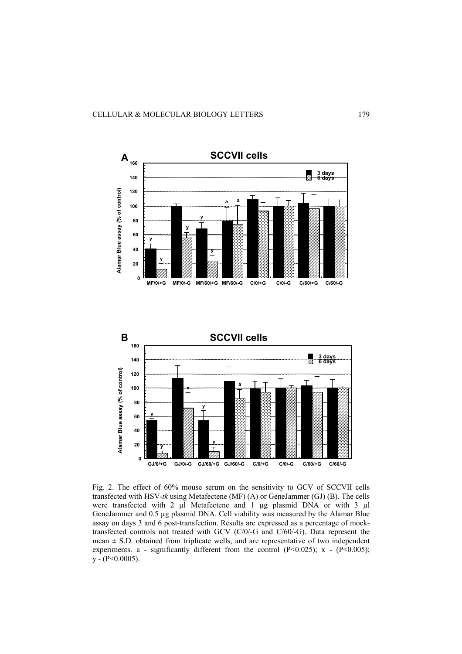



Fig. 2. The effect of 60% mouse serum on the sensitivity to GCV of SCCVII cells transfected with HSV*-tk* using Metafectene (MF) (A) or GeneJammer (GJ) (B). The cells were transfected with 2  $\mu$ l Metafectene and 1  $\mu$ g plasmid DNA or with 3  $\mu$ l GeneJammer and 0.5 µg plasmid DNA. Cell viability was measured by the Alamar Blue assay on days 3 and 6 post-transfection. Results are expressed as a percentage of mocktransfected controls not treated with GCV (C/0/-G and C/60/-G). Data represent the mean  $\pm$  S.D. obtained from triplicate wells, and are representative of two independent experiments. a - significantly different from the control  $(P<0.025)$ ; x -  $(P<0.005)$ ;  $y - (P < 0.0005)$ .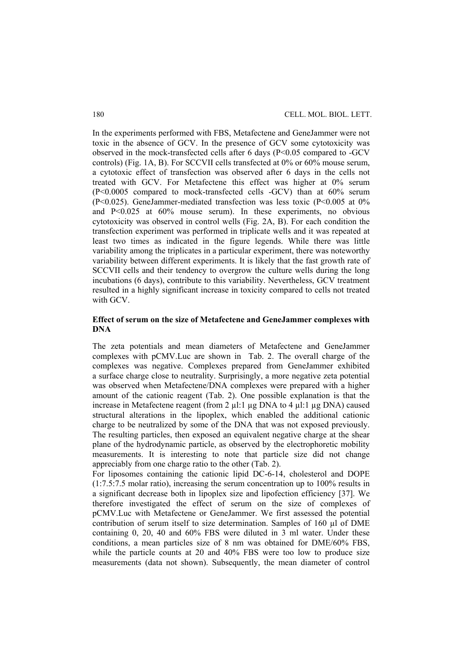In the experiments performed with FBS, Metafectene and GeneJammer were not toxic in the absence of GCV. In the presence of GCV some cytotoxicity was observed in the mock-transfected cells after 6 days (P<0.05 compared to -GCV controls) (Fig. 1A, B). For SCCVII cells transfected at 0% or 60% mouse serum, a cytotoxic effect of transfection was observed after 6 days in the cells not treated with GCV. For Metafectene this effect was higher at 0% serum (P<0.0005 compared to mock-transfected cells -GCV) than at 60% serum (P<0.025). GeneJammer-mediated transfection was less toxic (P<0.005 at 0% and P<0.025 at 60% mouse serum). In these experiments, no obvious cytotoxicity was observed in control wells (Fig. 2A, B). For each condition the transfection experiment was performed in triplicate wells and it was repeated at least two times as indicated in the figure legends. While there was little variability among the triplicates in a particular experiment, there was noteworthy variability between different experiments. It is likely that the fast growth rate of SCCVII cells and their tendency to overgrow the culture wells during the long incubations (6 days), contribute to this variability. Nevertheless, GCV treatment resulted in a highly significant increase in toxicity compared to cells not treated with GCV.

## **Effect of serum on the size of Metafectene and GeneJammer complexes with DNA**

The zeta potentials and mean diameters of Metafectene and GeneJammer complexes with pCMV.Luc are shown in Tab. 2. The overall charge of the complexes was negative. Complexes prepared from GeneJammer exhibited a surface charge close to neutrality. Surprisingly, a more negative zeta potential was observed when Metafectene/DNA complexes were prepared with a higher amount of the cationic reagent (Tab. 2). One possible explanation is that the increase in Metafectene reagent (from 2 µl:1 µg DNA to 4 µl:1 µg DNA) caused structural alterations in the lipoplex, which enabled the additional cationic charge to be neutralized by some of the DNA that was not exposed previously. The resulting particles, then exposed an equivalent negative charge at the shear plane of the hydrodynamic particle, as observed by the electrophoretic mobility measurements. It is interesting to note that particle size did not change appreciably from one charge ratio to the other (Tab. 2).

For liposomes containing the cationic lipid DC-6-14, cholesterol and DOPE (1:7.5:7.5 molar ratio), increasing the serum concentration up to 100% results in a significant decrease both in lipoplex size and lipofection efficiency [37]. We therefore investigated the effect of serum on the size of complexes of pCMV.Luc with Metafectene or GeneJammer. We first assessed the potential contribution of serum itself to size determination. Samples of 160 µl of DME containing 0, 20, 40 and 60% FBS were diluted in 3 ml water. Under these conditions, a mean particles size of 8 nm was obtained for DME/60% FBS, while the particle counts at 20 and 40% FBS were too low to produce size measurements (data not shown). Subsequently, the mean diameter of control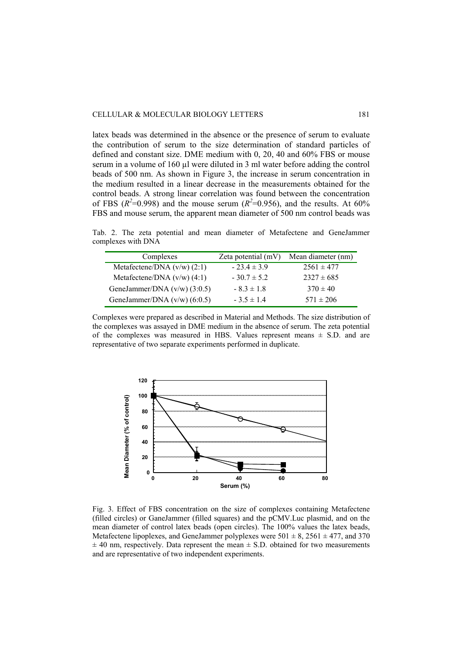latex beads was determined in the absence or the presence of serum to evaluate the contribution of serum to the size determination of standard particles of defined and constant size. DME medium with 0, 20, 40 and 60% FBS or mouse serum in a volume of 160 µl were diluted in 3 ml water before adding the control beads of 500 nm. As shown in Figure 3, the increase in serum concentration in the medium resulted in a linear decrease in the measurements obtained for the control beads. A strong linear correlation was found between the concentration of FBS  $(R^2=0.998)$  and the mouse serum  $(R^2=0.956)$ , and the results. At 60% FBS and mouse serum, the apparent mean diameter of 500 nm control beads was

Tab. 2. The zeta potential and mean diameter of Metafectene and GeneJammer complexes with DNA

| Complexes                      | Zeta potential (mV) | Mean diameter (nm) |
|--------------------------------|---------------------|--------------------|
| Metafectene/DNA $(v/w)$ (2:1)  | $-23.4 \pm 3.9$     | $2561 \pm 477$     |
| Metafectene/DNA $(v/w)$ (4:1)  | $-30.7 \pm 5.2$     | $2327 \pm 685$     |
| GeneJammer/DNA $(v/w)$ (3:0.5) | $-8.3 \pm 1.8$      | $370 \pm 40$       |
| GeneJammer/DNA $(v/w)$ (6:0.5) | $-3.5 \pm 1.4$      | $571 \pm 206$      |

Complexes were prepared as described in Material and Methods. The size distribution of the complexes was assayed in DME medium in the absence of serum. The zeta potential of the complexes was measured in HBS. Values represent means  $\pm$  S.D. and are representative of two separate experiments performed in duplicate.



Fig. 3. Effect of FBS concentration on the size of complexes containing Metafectene (filled circles) or GaneJammer (filled squares) and the pCMV.Luc plasmid, and on the mean diameter of control latex beads (open circles). The 100% values the latex beads, Metafectene lipoplexes, and GeneJammer polyplexes were  $501 \pm 8$ ,  $2561 \pm 477$ , and 370  $\pm$  40 nm, respectively. Data represent the mean  $\pm$  S.D. obtained for two measurements and are representative of two independent experiments.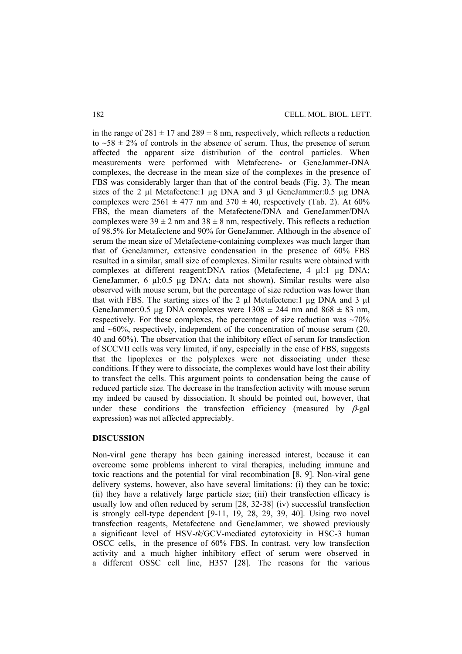in the range of  $281 \pm 17$  and  $289 \pm 8$  nm, respectively, which reflects a reduction to  $\sim$ 58  $\pm$  2% of controls in the absence of serum. Thus, the presence of serum affected the apparent size distribution of the control particles. When measurements were performed with Metafectene- or GeneJammer-DNA complexes, the decrease in the mean size of the complexes in the presence of FBS was considerably larger than that of the control beads (Fig. 3). The mean sizes of the 2  $\mu$ l Metafectene:1  $\mu$ g DNA and 3  $\mu$ l GeneJammer:0.5  $\mu$ g DNA complexes were  $2561 \pm 477$  nm and  $370 \pm 40$ , respectively (Tab. 2). At 60% FBS, the mean diameters of the Metafectene/DNA and GeneJammer/DNA complexes were  $39 \pm 2$  nm and  $38 \pm 8$  nm, respectively. This reflects a reduction of 98.5% for Metafectene and 90% for GeneJammer. Although in the absence of serum the mean size of Metafectene-containing complexes was much larger than that of GeneJammer, extensive condensation in the presence of 60% FBS resulted in a similar, small size of complexes. Similar results were obtained with complexes at different reagent:DNA ratios (Metafectene, 4 µl:1 µg DNA; GeneJammer, 6 µl:0.5 µg DNA; data not shown). Similar results were also observed with mouse serum, but the percentage of size reduction was lower than that with FBS. The starting sizes of the 2  $\mu$ l Metafectene:1  $\mu$ g DNA and 3  $\mu$ l GeneJammer:0.5 µg DNA complexes were  $1308 \pm 244$  nm and  $868 \pm 83$  nm, respectively. For these complexes, the percentage of size reduction was  $\sim 70\%$ and  $\sim 60\%$ , respectively, independent of the concentration of mouse serum (20, 40 and 60%). The observation that the inhibitory effect of serum for transfection of SCCVII cells was very limited, if any, especially in the case of FBS, suggests that the lipoplexes or the polyplexes were not dissociating under these conditions. If they were to dissociate, the complexes would have lost their ability to transfect the cells. This argument points to condensation being the cause of reduced particle size. The decrease in the transfection activity with mouse serum my indeed be caused by dissociation. It should be pointed out, however, that under these conditions the transfection efficiency (measured by  $\beta$ -gal expression) was not affected appreciably.

#### **DISCUSSION**

Non-viral gene therapy has been gaining increased interest, because it can overcome some problems inherent to viral therapies, including immune and toxic reactions and the potential for viral recombination [8, 9]. Non-viral gene delivery systems, however, also have several limitations: (i) they can be toxic; (ii) they have a relatively large particle size; (iii) their transfection efficacy is usually low and often reduced by serum [28, 32-38] (iv) successful transfection is strongly cell-type dependent [9-11, 19, 28, 29, 39, 40]. Using two novel transfection reagents, Metafectene and GeneJammer, we showed previously a significant level of HSV-*tk*/GCV-mediated cytotoxicity in HSC-3 human OSCC cells, in the presence of 60% FBS. In contrast, very low transfection activity and a much higher inhibitory effect of serum were observed in a different OSSC cell line, H357 [28]. The reasons for the various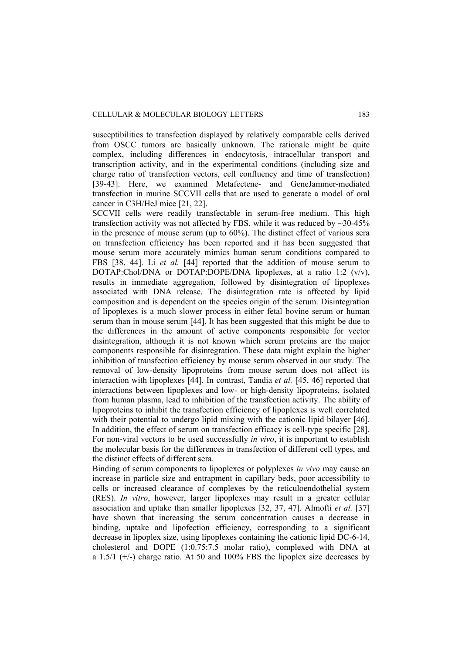susceptibilities to transfection displayed by relatively comparable cells derived from OSCC tumors are basically unknown. The rationale might be quite complex, including differences in endocytosis, intracellular transport and transcription activity, and in the experimental conditions (including size and charge ratio of transfection vectors, cell confluency and time of transfection) [39-43]. Here, we examined Metafectene- and GeneJammer-mediated transfection in murine SCCVII cells that are used to generate a model of oral cancer in C3H/HeJ mice [21, 22].

SCCVII cells were readily transfectable in serum-free medium. This high transfection activity was not affected by FBS, while it was reduced by  $\sim$ 30-45% in the presence of mouse serum (up to 60%). The distinct effect of various sera on transfection efficiency has been reported and it has been suggested that mouse serum more accurately mimics human serum conditions compared to FBS [38, 44]. Li *et al.* [44] reported that the addition of mouse serum to DOTAP:Chol/DNA or DOTAP:DOPE/DNA lipoplexes, at a ratio 1:2  $(v/v)$ , results in immediate aggregation, followed by disintegration of lipoplexes associated with DNA release. The disintegration rate is affected by lipid composition and is dependent on the species origin of the serum. Disintegration of lipoplexes is a much slower process in either fetal bovine serum or human serum than in mouse serum [44]. It has been suggested that this might be due to the differences in the amount of active components responsible for vector disintegration, although it is not known which serum proteins are the major components responsible for disintegration. These data might explain the higher inhibition of transfection efficiency by mouse serum observed in our study. The removal of low-density lipoproteins from mouse serum does not affect its interaction with lipoplexes [44]. In contrast, Tandia *et al.* [45, 46] reported that interactions between lipoplexes and low- or high-density lipoproteins, isolated from human plasma, lead to inhibition of the transfection activity. The ability of lipoproteins to inhibit the transfection efficiency of lipoplexes is well correlated with their potential to undergo lipid mixing with the cationic lipid bilayer [46]. In addition, the effect of serum on transfection efficacy is cell-type specific [28]. For non-viral vectors to be used successfully *in vivo*, it is important to establish the molecular basis for the differences in transfection of different cell types, and the distinct effects of different sera.

Binding of serum components to lipoplexes or polyplexes *in vivo* may cause an increase in particle size and entrapment in capillary beds, poor accessibility to cells or increased clearance of complexes by the reticuloendothelial system (RES). *In vitro*, however, larger lipoplexes may result in a greater cellular association and uptake than smaller lipoplexes [32, 37, 47]. Almofti *et al.* [37] have shown that increasing the serum concentration causes a decrease in binding, uptake and lipofection efficiency, corresponding to a significant decrease in lipoplex size, using lipoplexes containing the cationic lipid DC-6-14, cholesterol and DOPE (1:0.75:7.5 molar ratio), complexed with DNA at a  $1.5/1$  ( $+/-$ ) charge ratio. At 50 and 100% FBS the lipoplex size decreases by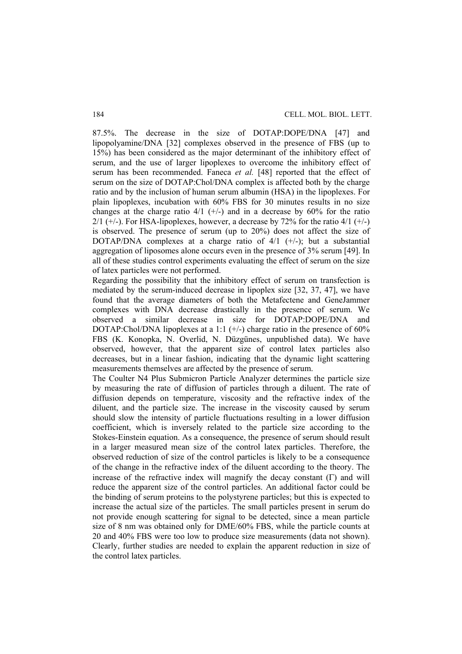87.5%. The decrease in the size of DOTAP:DOPE/DNA [47] and lipopolyamine/DNA [32] complexes observed in the presence of FBS (up to 15%) has been considered as the major determinant of the inhibitory effect of serum, and the use of larger lipoplexes to overcome the inhibitory effect of serum has been recommended. Faneca *et al.* [48] reported that the effect of serum on the size of DOTAP:Chol/DNA complex is affected both by the charge ratio and by the inclusion of human serum albumin (HSA) in the lipoplexes. For plain lipoplexes, incubation with 60% FBS for 30 minutes results in no size changes at the charge ratio  $4/1$  (+/-) and in a decrease by 60% for the ratio  $2/1$  (+/-). For HSA-lipoplexes, however, a decrease by 72% for the ratio 4/1 (+/-) is observed. The presence of serum (up to 20%) does not affect the size of DOTAP/DNA complexes at a charge ratio of  $4/1$  (+/-); but a substantial aggregation of liposomes alone occurs even in the presence of 3% serum [49]. In all of these studies control experiments evaluating the effect of serum on the size of latex particles were not performed.

Regarding the possibility that the inhibitory effect of serum on transfection is mediated by the serum-induced decrease in lipoplex size [32, 37, 47], we have found that the average diameters of both the Metafectene and GeneJammer complexes with DNA decrease drastically in the presence of serum. We observed a similar decrease in size for DOTAP:DOPE/DNA and DOTAP:Chol/DNA lipoplexes at a 1:1  $(+)$  charge ratio in the presence of 60% FBS (K. Konopka, N. Overlid, N. Düzgünes, unpublished data). We have observed, however, that the apparent size of control latex particles also decreases, but in a linear fashion, indicating that the dynamic light scattering measurements themselves are affected by the presence of serum.

The Coulter N4 Plus Submicron Particle Analyzer determines the particle size by measuring the rate of diffusion of particles through a diluent. The rate of diffusion depends on temperature, viscosity and the refractive index of the diluent, and the particle size. The increase in the viscosity caused by serum should slow the intensity of particle fluctuations resulting in a lower diffusion coefficient, which is inversely related to the particle size according to the Stokes-Einstein equation. As a consequence, the presence of serum should result in a larger measured mean size of the control latex particles. Therefore, the observed reduction of size of the control particles is likely to be a consequence of the change in the refractive index of the diluent according to the theory. The increase of the refractive index will magnify the decay constant  $(\Gamma)$  and will reduce the apparent size of the control particles. An additional factor could be the binding of serum proteins to the polystyrene particles; but this is expected to increase the actual size of the particles. The small particles present in serum do not provide enough scattering for signal to be detected, since a mean particle size of 8 nm was obtained only for DME/60% FBS, while the particle counts at 20 and 40% FBS were too low to produce size measurements (data not shown). Clearly, further studies are needed to explain the apparent reduction in size of the control latex particles.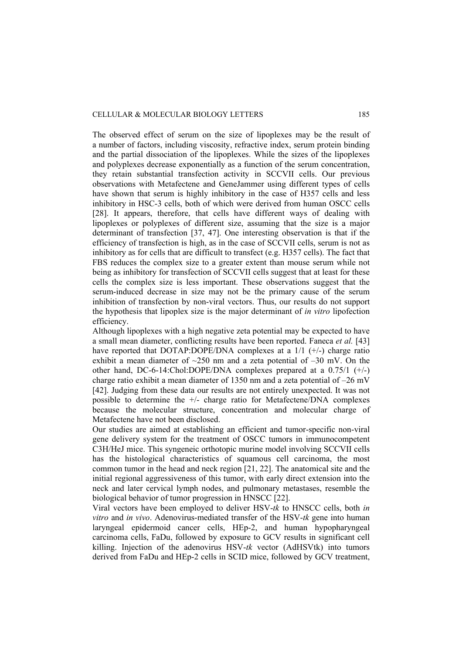### CELLULAR & MOLECULAR BIOLOGY LETTERS 185

The observed effect of serum on the size of lipoplexes may be the result of a number of factors, including viscosity, refractive index, serum protein binding and the partial dissociation of the lipoplexes. While the sizes of the lipoplexes and polyplexes decrease exponentially as a function of the serum concentration, they retain substantial transfection activity in SCCVII cells. Our previous observations with Metafectene and GeneJammer using different types of cells have shown that serum is highly inhibitory in the case of H357 cells and less inhibitory in HSC-3 cells, both of which were derived from human OSCC cells [28]. It appears, therefore, that cells have different ways of dealing with lipoplexes or polyplexes of different size, assuming that the size is a major determinant of transfection [37, 47]. One interesting observation is that if the efficiency of transfection is high, as in the case of SCCVII cells, serum is not as inhibitory as for cells that are difficult to transfect (e.g. H357 cells). The fact that FBS reduces the complex size to a greater extent than mouse serum while not being as inhibitory for transfection of SCCVII cells suggest that at least for these cells the complex size is less important. These observations suggest that the serum-induced decrease in size may not be the primary cause of the serum inhibition of transfection by non-viral vectors. Thus, our results do not support the hypothesis that lipoplex size is the major determinant of *in vitro* lipofection efficiency.

Although lipoplexes with a high negative zeta potential may be expected to have a small mean diameter, conflicting results have been reported. Faneca *et al.* [43] have reported that DOTAP:DOPE/DNA complexes at a  $1/1$  ( $+/-$ ) charge ratio exhibit a mean diameter of  $\sim$ 250 nm and a zeta potential of  $-30$  mV. On the other hand, DC-6-14:Chol:DOPE/DNA complexes prepared at a  $0.75/1$  ( $\pm/-$ ) charge ratio exhibit a mean diameter of 1350 nm and a zeta potential of –26 mV [42]. Judging from these data our results are not entirely unexpected. It was not possible to determine the  $+/-$  charge ratio for Metafectene/DNA complexes because the molecular structure, concentration and molecular charge of Metafectene have not been disclosed.

Our studies are aimed at establishing an efficient and tumor-specific non-viral gene delivery system for the treatment of OSCC tumors in immunocompetent C3H/HeJ mice. This syngeneic orthotopic murine model involving SCCVII cells has the histological characteristics of squamous cell carcinoma, the most common tumor in the head and neck region [21, 22]. The anatomical site and the initial regional aggressiveness of this tumor, with early direct extension into the neck and later cervical lymph nodes, and pulmonary metastases, resemble the biological behavior of tumor progression in HNSCC [22].

Viral vectors have been employed to deliver HSV-*tk* to HNSCC cells, both *in vitro* and *in vivo*. Adenovirus-mediated transfer of the HSV-*tk* gene into human laryngeal epidermoid cancer cells, HEp-2, and human hypopharyngeal carcinoma cells, FaDu, followed by exposure to GCV results in significant cell killing. Injection of the adenovirus HSV-*tk* vector (AdHSVtk) into tumors derived from FaDu and HEp-2 cells in SCID mice, followed by GCV treatment,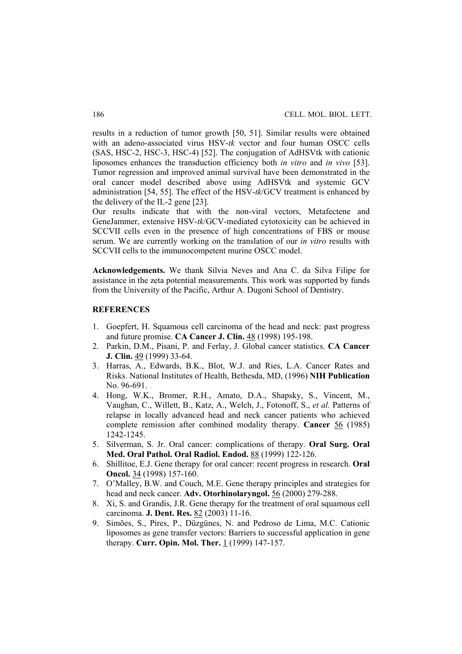results in a reduction of tumor growth [50, 51]. Similar results were obtained with an adeno-associated virus HSV-*tk* vector and four human OSCC cells (SAS, HSC-2, HSC-3, HSC-4) [52]. The conjugation of AdHSVtk with cationic liposomes enhances the transduction efficiency both *in vitro* and *in vivo* [53]. Tumor regression and improved animal survival have been demonstrated in the oral cancer model described above using AdHSVtk and systemic GCV administration [54, 55]. The effect of the HSV-*tk*/GCV treatment is enhanced by the delivery of the IL-2 gene [23].

Our results indicate that with the non-viral vectors, Metafectene and GeneJammer, extensive HSV-*tk*/GCV-mediated cytotoxicity can be achieved in SCCVII cells even in the presence of high concentrations of FBS or mouse serum. We are currently working on the translation of our *in vitro* results with SCCVII cells to the immunocompetent murine OSCC model.

**Acknowledgements.** We thank Silvia Neves and Ana C. da Silva Filipe for assistance in the zeta potential measurements. This work was supported by funds from the University of the Pacific, Arthur A. Dugoni School of Dentistry.

## **REFERENCES**

- 1. Goepfert, H. Squamous cell carcinoma of the head and neck: past progress and future promise. **CA Cancer J. Clin.** 48 (1998) 195-198.
- 2. Parkin, D.M., Pisani, P. and Ferlay, J. Global cancer statistics. **CA Cancer J. Clin.** 49 (1999) 33-64.
- 3. Harras, A., Edwards, B.K., Blot, W.J. and Ries, L.A. Cancer Rates and Risks. National Institutes of Health, Bethesda, MD, (1996) **NIH Publication** No. 96-691.
- 4. Hong, W.K., Bromer, R.H., Amato, D.A., Shapsky, S., Vincent, M., Vaughan, C., Willett, B., Katz, A., Welch, J., Fotonoff, S., *et al.* Patterns of relapse in locally advanced head and neck cancer patients who achieved complete remission after combined modality therapy. **Cancer** 56 (1985) 1242-1245.
- 5. Silverman, S. Jr. Oral cancer: complications of therapy. **Oral Surg. Oral Med. Oral Pathol. Oral Radiol. Endod.** 88 (1999) 122-126.
- 6. Shillitoe, E.J. Gene therapy for oral cancer: recent progress in research. **Oral Oncol.** 34 (1998) 157-160.
- 7. O'Malley, B.W. and Couch, M.E. Gene therapy principles and strategies for head and neck cancer. **Adv. Otorhinolaryngol.** 56 (2000) 279-288.
- 8. Xi, S. and Grandis, J.R. Gene therapy for the treatment of oral squamous cell carcinoma. **J. Dent. Res.** 82 (2003) 11-16.
- 9. Simões, S., Pires, P., Düzgünes, N. and Pedroso de Lima, M.C. Cationic liposomes as gene transfer vectors: Barriers to successful application in gene therapy. **Curr. Opin. Mol. Ther.** 1 (1999) 147-157.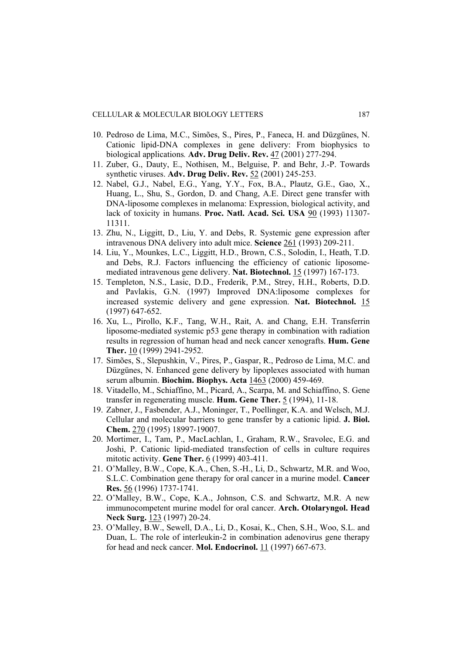- 10. Pedroso de Lima, M.C., Simões, S., Pires, P., Faneca, H. and Düzgünes, N. Cationic lipid-DNA complexes in gene delivery: From biophysics to biological applications*.* **Adv. Drug Deliv. Rev.** 47 (2001) 277-294.
- 11. Zuber, G., Dauty, E., Nothisen, M., Belguise, P. and Behr, J.-P. Towards synthetic viruses. **Adv. Drug Deliv. Rev.** 52 (2001) 245-253.
- 12. Nabel, G.J., Nabel, E.G., Yang, Y.Y., Fox, B.A., Plautz, G.E., Gao, X., Huang, L., Shu, S., Gordon, D. and Chang, A.E. Direct gene transfer with DNA-liposome complexes in melanoma: Expression, biological activity, and lack of toxicity in humans. **Proc. Natl. Acad. Sci. USA** 90 (1993) 11307- 11311.
- 13. Zhu, N., Liggitt, D., Liu, Y. and Debs, R. Systemic gene expression after intravenous DNA delivery into adult mice. **Science** 261 (1993) 209-211.
- 14. Liu, Y., Mounkes, L.C., Liggitt, H.D., Brown, C.S., Solodin, I., Heath, T.D. and Debs, R.J. Factors influencing the efficiency of cationic liposomemediated intravenous gene delivery. **Nat. Biotechnol.** 15 (1997) 167-173.
- 15. Templeton, N.S., Lasic, D.D., Frederik, P.M., Strey, H.H., Roberts, D.D. and Pavlakis, G.N. (1997) Improved DNA:liposome complexes for increased systemic delivery and gene expression. **Nat. Biotechnol.** 15 (1997) 647-652.
- 16. Xu, L., Pirollo, K.F., Tang, W.H., Rait, A. and Chang, E.H. Transferrin liposome-mediated systemic p53 gene therapy in combination with radiation results in regression of human head and neck cancer xenografts. **Hum. Gene Ther.** 10 (1999) 2941-2952.
- 17. Simões, S., Slepushkin, V., Pires, P., Gaspar, R., Pedroso de Lima, M.C. and Düzgünes, N. Enhanced gene delivery by lipoplexes associated with human serum albumin. **Biochim. Biophys. Acta** 1463 (2000) 459-469.
- 18. Vitadello, M., Schiaffino, M., Picard, A., Scarpa, M. and Schiaffino, S. Gene transfer in regenerating muscle. **Hum. Gene Ther.** 5 (1994), 11-18.
- 19. Zabner, J., Fasbender, A.J., Moninger, T., Poellinger, K.A. and Welsch, M.J. Cellular and molecular barriers to gene transfer by a cationic lipid. **J. Biol. Chem.** 270 (1995) 18997-19007.
- 20. Mortimer, I., Tam, P., MacLachlan, I., Graham, R.W., Sravolec, E.G. and Joshi, P. Cationic lipid-mediated transfection of cells in culture requires mitotic activity. **Gene Ther.** 6 (1999) 403-411.
- 21. O'Malley, B.W., Cope, K.A., Chen, S.-H., Li, D., Schwartz, M.R. and Woo, S.L.C. Combination gene therapy for oral cancer in a murine model. **Cancer Res.** 56 (1996) 1737-1741.
- 22. O'Malley, B.W., Cope, K.A., Johnson, C.S. and Schwartz, M.R. A new immunocompetent murine model for oral cancer. **Arch. Otolaryngol. Head Neck Surg.** 123 (1997) 20-24.
- 23. O'Malley, B.W., Sewell, D.A., Li, D., Kosai, K., Chen, S.H., Woo, S.L. and Duan, L. The role of interleukin-2 in combination adenovirus gene therapy for head and neck cancer. **Mol. Endocrinol.** 11 (1997) 667-673.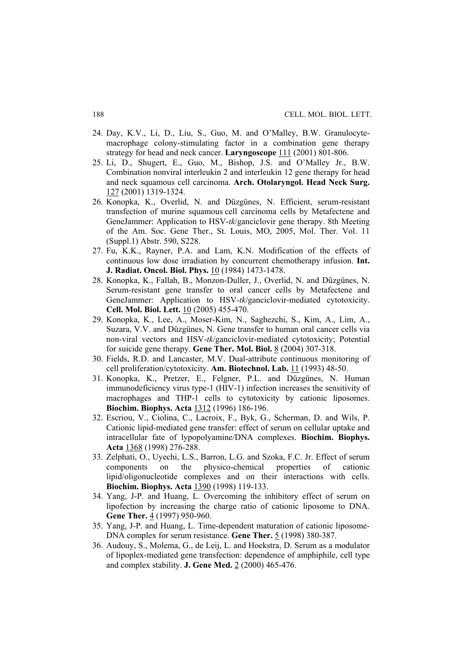- 24. Day, K.V., Li, D., Liu, S., Guo, M. and O'Malley, B.W. Granulocytemacrophage colony-stimulating factor in a combination gene therapy strategy for head and neck cancer. **Laryngoscope** 111 (2001) 801-806.
- 25. Li, D., Shugert, E., Guo, M., Bishop, J.S. and O'Malley Jr., B.W. Combination nonviral interleukin 2 and interleukin 12 gene therapy for head and neck squamous cell carcinoma. **Arch. Otolaryngol. Head Neck Surg.** 127 (2001) 1319-1324.
- 26. Konopka, K., Overlid, N. and Düzgünes, N. Efficient, serum-resistant transfection of murine squamous cell carcinoma cells by Metafectene and GeneJammer: Application to HSV-*tk*/ganciclovir gene therapy. 8th Meeting of the Am. Soc. Gene Ther., St. Louis, MO, 2005, Mol. Ther. Vol. 11 (Suppl.1) Abstr. 590, S228.
- 27. Fu, K.K., Rayner, P.A. and Lam, K.N. Modification of the effects of continuous low dose irradiation by concurrent chemotherapy infusion. **Int. J. Radiat. Oncol. Biol. Phys.** 10 (1984) 1473-1478.
- 28. Konopka, K., Fallah, B., Monzon-Duller, J., Overlid, N. and Düzgünes, N. Serum-resistant gene transfer to oral cancer cells by Metafectene and GeneJammer: Application to HSV-*tk*/ganciclovir-mediated cytotoxicity. **Cell. Mol. Biol. Lett.** 10 (2005) 455-470.
- 29. Konopka, K., Lee, A., Moser-Kim, N., Saghezchi, S., Kim, A., Lim, A., Suzara, V.V. and Düzgünes, N. Gene transfer to human oral cancer cells via non-viral vectors and HSV-*tk*/ganciclovir-mediated cytotoxicity; Potential for suicide gene therapy. **Gene Ther. Mol. Biol.** 8 (2004) 307-318.
- 30. Fields, R.D. and Lancaster, M.V. Dual-attribute continuous monitoring of cell proliferation/cytotoxicity. **Am. Biotechnol. Lab.** 11 (1993) 48-50.
- 31. Konopka, K., Pretzer, E., Felgner, P.L. and Düzgünes, N. Human immunodeficiency virus type-1 (HIV-1) infection increases the sensitivity of macrophages and THP-1 cells to cytotoxicity by cationic liposomes. **Biochim. Biophys. Acta** 1312 (1996) 186-196.
- 32. Escriou, V., Ciolina, C., Lacroix, F., Byk, G., Scherman, D. and Wils, P. Cationic lipid-mediated gene transfer: effect of serum on cellular uptake and intracellular fate of lypopolyamine/DNA complexes. **Biochim. Biophys. Acta** 1368 (1998) 276-288.
- 33. Zelphati, O., Uyechi, L.S., Barron, L.G. and Szoka, F.C. Jr. Effect of serum components on the physico-chemical properties of cationic lipid/oligonucleotide complexes and on their interactions with cells. **Biochim. Biophys. Acta** 1390 (1998) 119-133.
- 34. Yang, J-P. and Huang, L. Overcoming the inhibitory effect of serum on lipofection by increasing the charge ratio of cationic liposome to DNA. **Gene Ther.** 4 (1997) 950-960.
- 35. Yang, J-P. and Huang, L. Time-dependent maturation of cationic liposome-DNA complex for serum resistance. **Gene Ther.** 5 (1998) 380-387.
- 36. Audouy, S., Molema, G., de Leij, L. and Hoekstra, D. Serum as a modulator of lipoplex-mediated gene transfection: dependence of amphiphile, cell type and complex stability. **J. Gene Med.** 2 (2000) 465-476.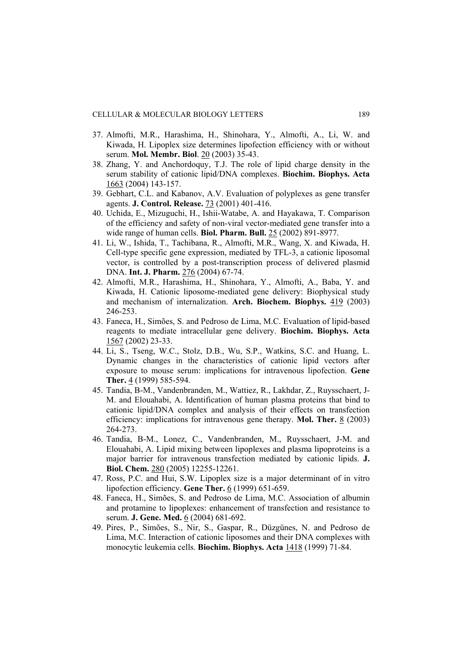- 37. Almofti, M.R., Harashima, H., Shinohara, Y., Almofti, A., Li, W. and Kiwada, H. Lipoplex size determines lipofection efficiency with or without serum. **Mol. Membr. Biol**. 20 (2003) 35-43.
- 38. Zhang, Y. and Anchordoquy, T.J. The role of lipid charge density in the serum stability of cationic lipid/DNA complexes. **Biochim. Biophys. Acta** 1663 (2004) 143-157.
- 39. Gebhart, C.L. and Kabanov, A.V. Evaluation of polyplexes as gene transfer agents. **J. Control. Release.** 73 (2001) 401-416.
- 40. Uchida, E., Mizuguchi, H., Ishii-Watabe, A. and Hayakawa, T. Comparison of the efficiency and safety of non-viral vector-mediated gene transfer into a wide range of human cells. **Biol. Pharm. Bull.** 25 (2002) 891-8977.
- 41. Li, W., Ishida, T., Tachibana, R., Almofti, M.R., Wang, X. and Kiwada, H. Cell-type specific gene expression, mediated by TFL-3, a cationic liposomal vector, is controlled by a post-transcription process of delivered plasmid DNA. **Int. J. Pharm.** 276 (2004) 67-74.
- 42. Almofti, M.R., Harashima, H., Shinohara, Y., Almofti, A., Baba, Y. and Kiwada, H. Cationic liposome-mediated gene delivery: Biophysical study and mechanism of internalization. **Arch. Biochem. Biophys.** 419 (2003) 246-253.
- 43. Faneca, H., Simões, S. and Pedroso de Lima, M.C. Evaluation of lipid-based reagents to mediate intracellular gene delivery. **Biochim. Biophys. Acta** 1567 (2002) 23-33.
- 44. Li, S., Tseng, W.C., Stolz, D.B., Wu, S.P., Watkins, S.C. and Huang, L. Dynamic changes in the characteristics of cationic lipid vectors after exposure to mouse serum: implications for intravenous lipofection. **Gene Ther.** 4 (1999) 585-594.
- 45. Tandia, B-M., Vandenbranden, M., Wattiez, R., Lakhdar, Z., Ruysschaert, J-M. and Elouahabi, A. Identification of human plasma proteins that bind to cationic lipid/DNA complex and analysis of their effects on transfection efficiency: implications for intravenous gene therapy. **Mol. Ther.** 8 (2003) 264-273.
- 46. Tandia, B-M., Lonez, C., Vandenbranden, M., Ruysschaert, J-M. and Elouahabi, A. Lipid mixing between lipoplexes and plasma lipoproteins is a major barrier for intravenous transfection mediated by cationic lipids. **J. Biol. Chem.** 280 (2005) 12255-12261.
- 47. Ross, P.C. and Hui, S.W. Lipoplex size is a major determinant of in vitro lipofection efficiency. **Gene Ther.** 6 (1999) 651-659.
- 48. Faneca, H., Simões, S. and Pedroso de Lima, M.C. Association of albumin and protamine to lipoplexes: enhancement of transfection and resistance to serum. **J. Gene. Med.** 6 (2004) 681-692.
- 49. Pires, P., Simões, S., Nir, S., Gaspar, R., Düzgünes, N. and Pedroso de Lima, M.C. Interaction of cationic liposomes and their DNA complexes with monocytic leukemia cells. **Biochim. Biophys. Acta** 1418 (1999) 71-84.